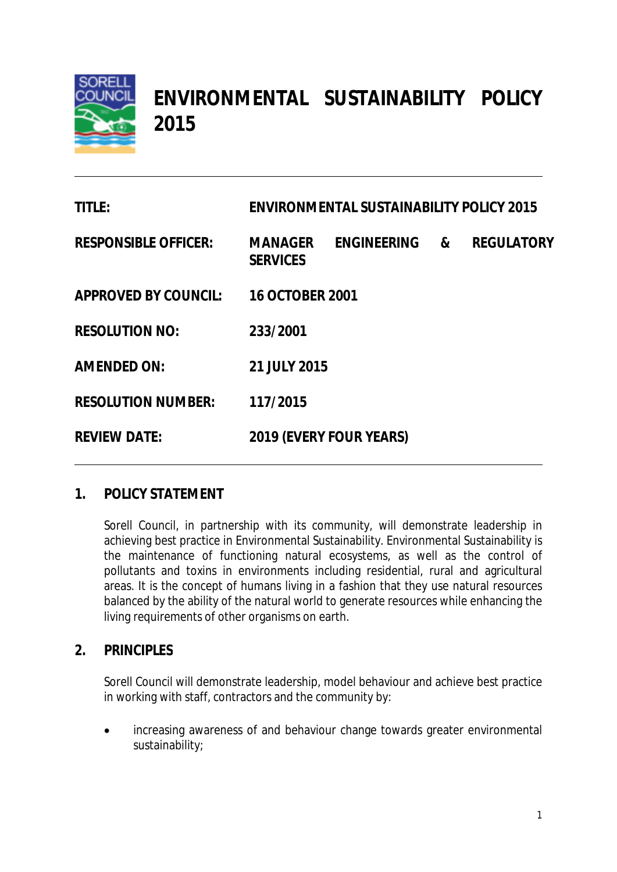

# **ENVIRONMENTAL SUSTAINABILITY POLICY 2015**

| <b>TITLE:</b>               | <b>ENVIRONMENTAL SUSTAINABILITY POLICY 2015</b> |                    |                       |                   |
|-----------------------------|-------------------------------------------------|--------------------|-----------------------|-------------------|
| <b>RESPONSIBLE OFFICER:</b> | <b>MANAGER</b><br><b>SERVICES</b>               | <b>ENGINEERING</b> | $\boldsymbol{\alpha}$ | <b>REGULATORY</b> |
| <b>APPROVED BY COUNCIL:</b> | <b>16 OCTOBER 2001</b>                          |                    |                       |                   |
| <b>RESOLUTION NO:</b>       | 233/2001                                        |                    |                       |                   |
| <b>AMENDED ON:</b>          | 21 JULY 2015                                    |                    |                       |                   |
| <b>RESOLUTION NUMBER:</b>   | 117/2015                                        |                    |                       |                   |
| <b>REVIEW DATE:</b>         | <b>2019 (EVERY FOUR YEARS)</b>                  |                    |                       |                   |

# **1. POLICY STATEMENT**

Sorell Council, in partnership with its community, will demonstrate leadership in achieving best practice in Environmental Sustainability. Environmental Sustainability is the maintenance of functioning natural ecosystems, as well as the control of pollutants and toxins in environments including residential, rural and agricultural areas. It is the concept of humans living in a fashion that they use natural resources balanced by the ability of the natural world to generate resources while enhancing the living requirements of other organisms on earth.

## **2. PRINCIPLES**

Sorell Council will demonstrate leadership, model behaviour and achieve best practice in working with staff, contractors and the community by:

 increasing awareness of and behaviour change towards greater environmental sustainability;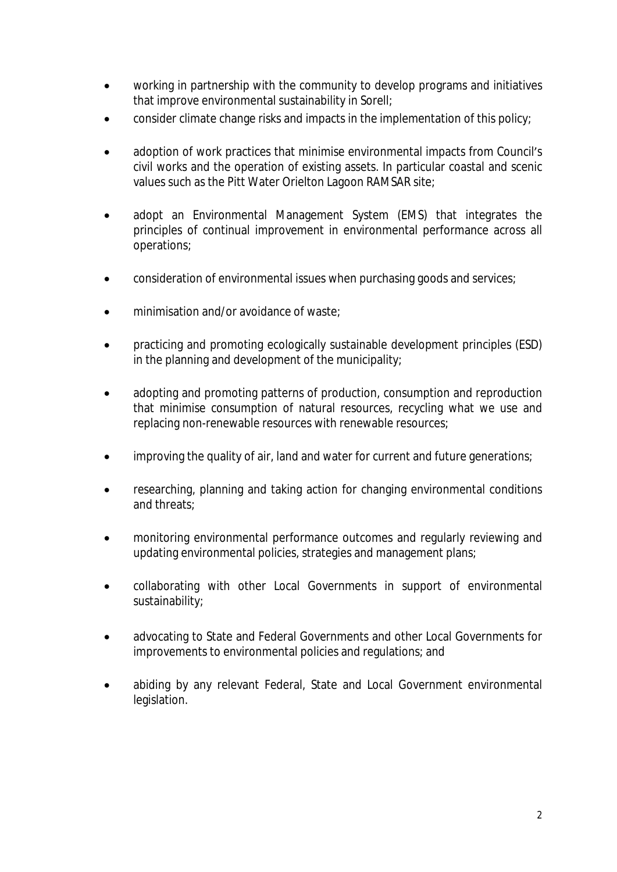- working in partnership with the community to develop programs and initiatives that improve environmental sustainability in Sorell;
- consider climate change risks and impacts in the implementation of this policy;
- adoption of work practices that minimise environmental impacts from Council's civil works and the operation of existing assets. In particular coastal and scenic values such as the Pitt Water Orielton Lagoon RAMSAR site;
- adopt an Environmental Management System (EMS) that integrates the principles of continual improvement in environmental performance across all operations;
- consideration of environmental issues when purchasing goods and services;
- minimisation and/or avoidance of waste;
- practicing and promoting ecologically sustainable development principles (ESD) in the planning and development of the municipality;
- adopting and promoting patterns of production, consumption and reproduction that minimise consumption of natural resources, recycling what we use and replacing non-renewable resources with renewable resources;
- improving the quality of air, land and water for current and future generations;
- researching, planning and taking action for changing environmental conditions and threats;
- monitoring environmental performance outcomes and regularly reviewing and updating environmental policies, strategies and management plans;
- collaborating with other Local Governments in support of environmental sustainability;
- advocating to State and Federal Governments and other Local Governments for improvements to environmental policies and regulations; and
- abiding by any relevant Federal, State and Local Government environmental legislation.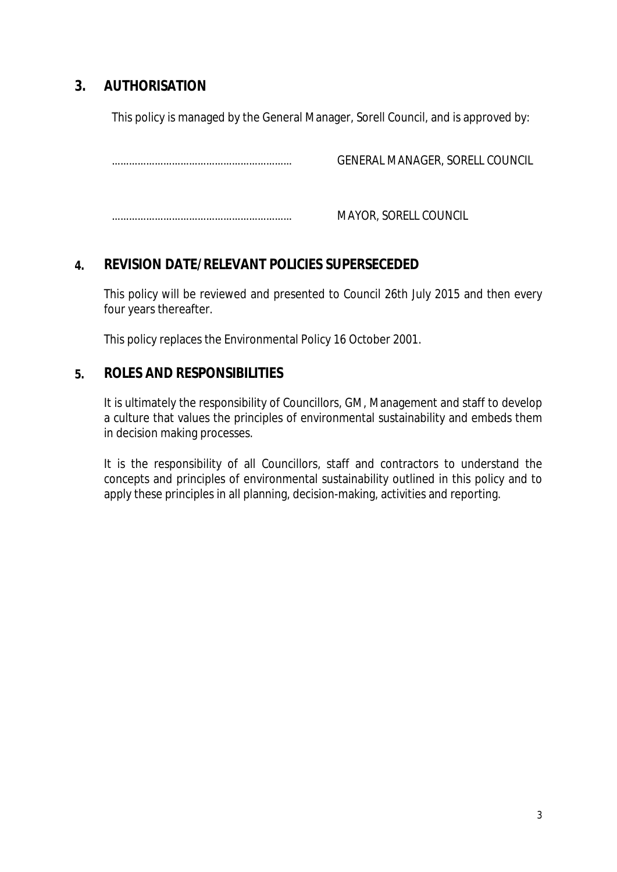# **3. AUTHORISATION**

This policy is managed by the General Manager, Sorell Council, and is approved by:

……………………………………………………… GENERAL MANAGER, SORELL COUNCIL

……………………………………………………… MAYOR, SORELL COUNCIL

# **4. REVISION DATE/RELEVANT POLICIES SUPERSECEDED**

This policy will be reviewed and presented to Council 26th July 2015 and then every four years thereafter.

This policy replaces the Environmental Policy 16 October 2001.

## **5. ROLES AND RESPONSIBILITIES**

It is ultimately the responsibility of Councillors, GM, Management and staff to develop a culture that values the principles of environmental sustainability and embeds them in decision making processes.

It is the responsibility of all Councillors, staff and contractors to understand the concepts and principles of environmental sustainability outlined in this policy and to apply these principles in all planning, decision-making, activities and reporting.